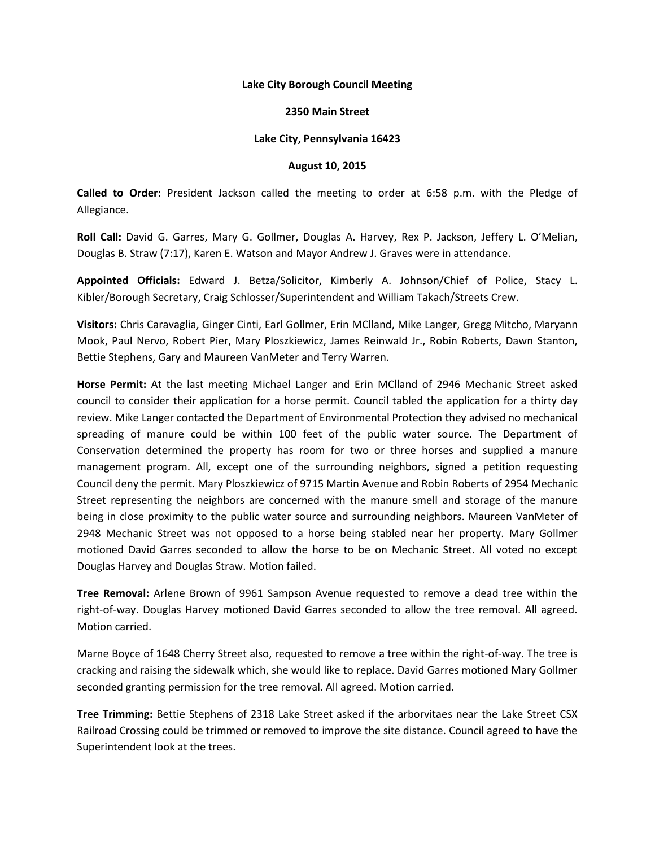#### **Lake City Borough Council Meeting**

#### **2350 Main Street**

### **Lake City, Pennsylvania 16423**

#### **August 10, 2015**

**Called to Order:** President Jackson called the meeting to order at 6:58 p.m. with the Pledge of Allegiance.

**Roll Call:** David G. Garres, Mary G. Gollmer, Douglas A. Harvey, Rex P. Jackson, Jeffery L. O'Melian, Douglas B. Straw (7:17), Karen E. Watson and Mayor Andrew J. Graves were in attendance.

**Appointed Officials:** Edward J. Betza/Solicitor, Kimberly A. Johnson/Chief of Police, Stacy L. Kibler/Borough Secretary, Craig Schlosser/Superintendent and William Takach/Streets Crew.

**Visitors:** Chris Caravaglia, Ginger Cinti, Earl Gollmer, Erin MClland, Mike Langer, Gregg Mitcho, Maryann Mook, Paul Nervo, Robert Pier, Mary Ploszkiewicz, James Reinwald Jr., Robin Roberts, Dawn Stanton, Bettie Stephens, Gary and Maureen VanMeter and Terry Warren.

**Horse Permit:** At the last meeting Michael Langer and Erin MClland of 2946 Mechanic Street asked council to consider their application for a horse permit. Council tabled the application for a thirty day review. Mike Langer contacted the Department of Environmental Protection they advised no mechanical spreading of manure could be within 100 feet of the public water source. The Department of Conservation determined the property has room for two or three horses and supplied a manure management program. All, except one of the surrounding neighbors, signed a petition requesting Council deny the permit. Mary Ploszkiewicz of 9715 Martin Avenue and Robin Roberts of 2954 Mechanic Street representing the neighbors are concerned with the manure smell and storage of the manure being in close proximity to the public water source and surrounding neighbors. Maureen VanMeter of 2948 Mechanic Street was not opposed to a horse being stabled near her property. Mary Gollmer motioned David Garres seconded to allow the horse to be on Mechanic Street. All voted no except Douglas Harvey and Douglas Straw. Motion failed.

**Tree Removal:** Arlene Brown of 9961 Sampson Avenue requested to remove a dead tree within the right-of-way. Douglas Harvey motioned David Garres seconded to allow the tree removal. All agreed. Motion carried.

Marne Boyce of 1648 Cherry Street also, requested to remove a tree within the right-of-way. The tree is cracking and raising the sidewalk which, she would like to replace. David Garres motioned Mary Gollmer seconded granting permission for the tree removal. All agreed. Motion carried.

**Tree Trimming:** Bettie Stephens of 2318 Lake Street asked if the arborvitaes near the Lake Street CSX Railroad Crossing could be trimmed or removed to improve the site distance. Council agreed to have the Superintendent look at the trees.